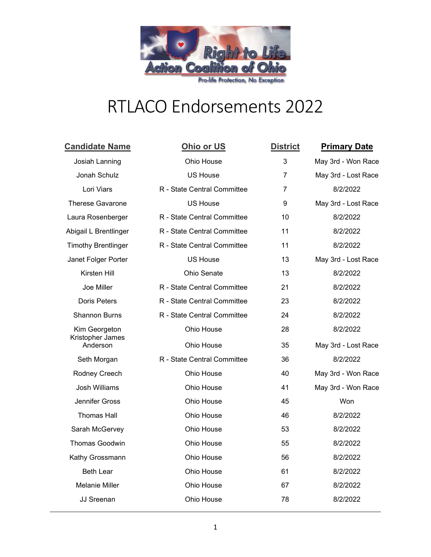

## RTLACO Endorsements 2022

| <b>Candidate Name</b>                         | Ohio or US                  | <b>District</b> | <b>Primary Date</b> |
|-----------------------------------------------|-----------------------------|-----------------|---------------------|
| Josiah Lanning                                | Ohio House                  | 3               | May 3rd - Won Race  |
| Jonah Schulz                                  | <b>US House</b>             | $\overline{7}$  | May 3rd - Lost Race |
| Lori Viars                                    | R - State Central Committee | 7               | 8/2/2022            |
| <b>Therese Gavarone</b>                       | <b>US House</b>             | 9               | May 3rd - Lost Race |
| Laura Rosenberger                             | R - State Central Committee | 10              | 8/2/2022            |
| Abigail L Brentlinger                         | R - State Central Committee | 11              | 8/2/2022            |
| <b>Timothy Brentlinger</b>                    | R - State Central Committee | 11              | 8/2/2022            |
| Janet Folger Porter                           | <b>US House</b>             | 13              | May 3rd - Lost Race |
| Kirsten Hill                                  | Ohio Senate                 | 13              | 8/2/2022            |
| Joe Miller                                    | R - State Central Committee | 21              | 8/2/2022            |
| Doris Peters                                  | R - State Central Committee | 23              | 8/2/2022            |
| <b>Shannon Burns</b>                          | R - State Central Committee | 24              | 8/2/2022            |
| Kim Georgeton<br>Kristopher James<br>Anderson | Ohio House                  | 28              | 8/2/2022            |
|                                               | Ohio House                  | 35              | May 3rd - Lost Race |
| Seth Morgan                                   | R - State Central Committee | 36              | 8/2/2022            |
| Rodney Creech                                 | Ohio House                  | 40              | May 3rd - Won Race  |
| <b>Josh Williams</b>                          | Ohio House                  | 41              | May 3rd - Won Race  |
| Jennifer Gross                                | Ohio House                  | 45              | Won                 |
| <b>Thomas Hall</b>                            | Ohio House                  | 46              | 8/2/2022            |
| Sarah McGervey                                | Ohio House                  | 53              | 8/2/2022            |
| <b>Thomas Goodwin</b>                         | Ohio House                  | 55              | 8/2/2022            |
| Kathy Grossmann                               | Ohio House                  | 56              | 8/2/2022            |
| <b>Beth Lear</b>                              | Ohio House                  | 61              | 8/2/2022            |
| <b>Melanie Miller</b>                         | Ohio House                  | 67              | 8/2/2022            |
| <b>JJ Sreenan</b>                             | Ohio House                  | 78              | 8/2/2022            |